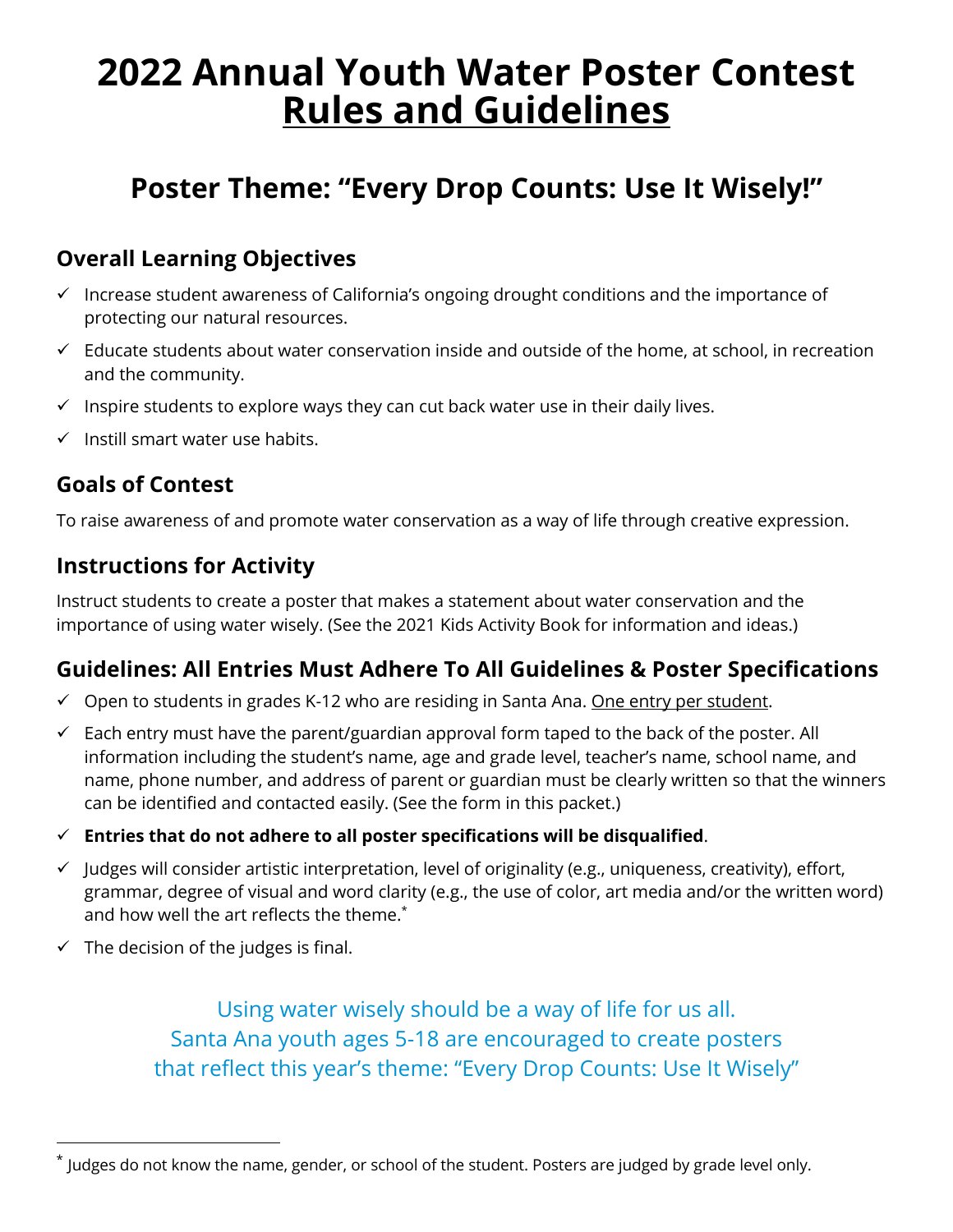# **2022 Annual Youth Water Poster Contest Rules and Guidelines**

# **Poster Theme: "Every Drop Counts: Use It Wisely!"**

# **Overall Learning Objectives**

- $\checkmark$  Increase student awareness of California's ongoing drought conditions and the importance of protecting our natural resources.
- $\checkmark$  Educate students about water conservation inside and outside of the home, at school, in recreation and the community.
- $\checkmark$  Inspire students to explore ways they can cut back water use in their daily lives.
- $\checkmark$  Instill smart water use habits.

## **Goals of Contest**

To raise awareness of and promote water conservation as a way of life through creative expression.

## **Instructions for Activity**

Instruct students to create a poster that makes a statement about water conservation and the importance of using water wisely. (See the 2021 Kids Activity Book for information and ideas.)

## **Guidelines: All Entries Must Adhere To All Guidelines & Poster Specifications**

- $\checkmark$  Open to students in grades K-12 who are residing in Santa Ana. One entry per student.
- $\checkmark$  Each entry must have the parent/guardian approval form taped to the back of the poster. All information including the student's name, age and grade level, teacher's name, school name, and name, phone number, and address of parent or guardian must be clearly written so that the winners can be identified and contacted easily. (See the form in this packet.)
- $\checkmark$  Entries that do not adhere to all poster specifications will be disqualified.
- $\checkmark$  Judges will consider artistic interpretation, level of originality (e.g., uniqueness, creativity), effort, grammar, degree of visual and word clarity (e.g., the use of color, art media and/or the written word) and how well the art reflects the theme. $\check{~}$
- $\checkmark$  The decision of the judges is final.

Using water wisely should be a way of life for us all. Santa Ana youth ages 5-18 are encouraged to create posters that reflect this year's theme: "Every Drop Counts: Use It Wisely"

<sup>\*</sup> Judges do not know the name, gender, or school of the student. Posters are judged by grade level only.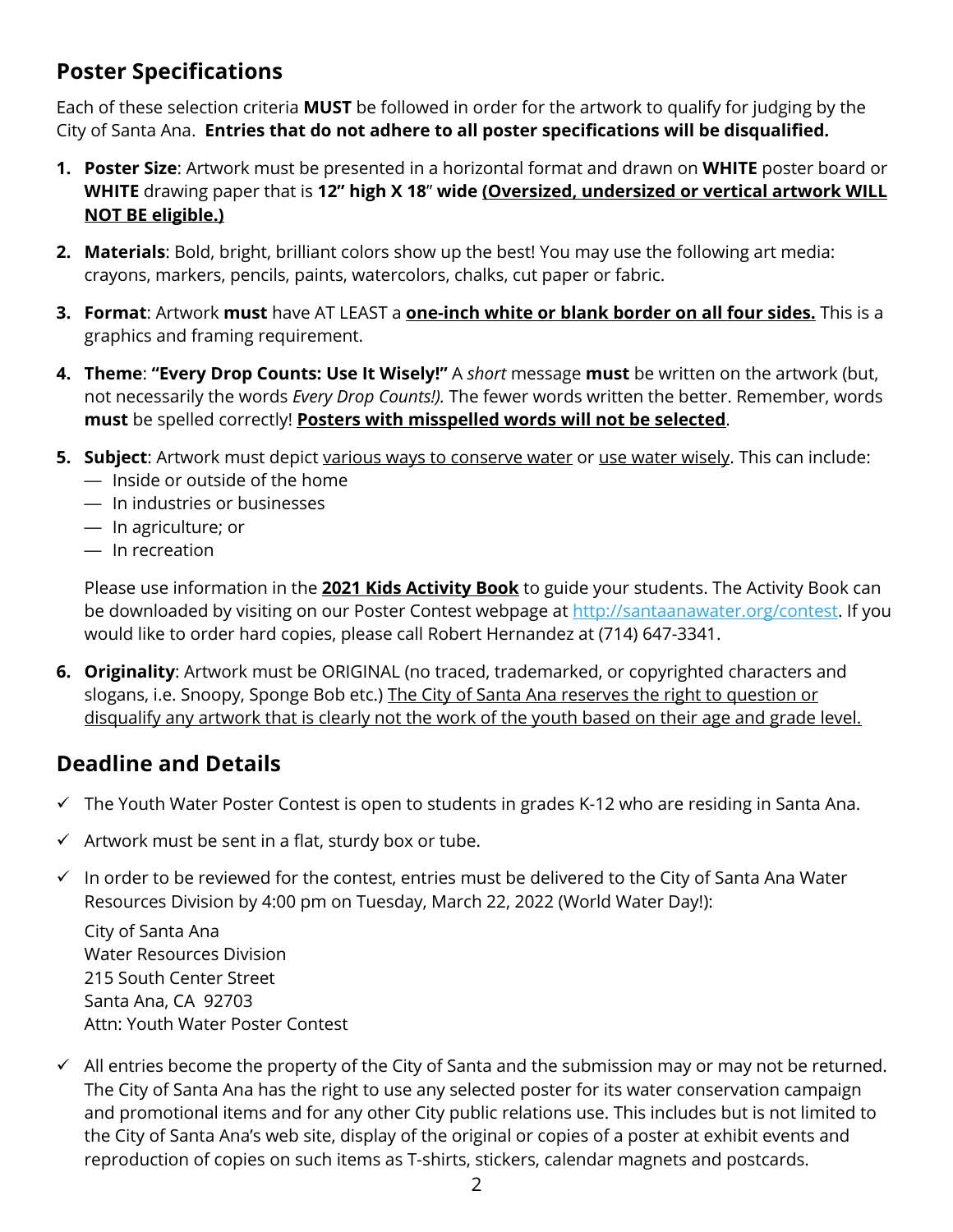# **Poster Specifications**

Each of these selection criteria **MUST** be followed in order for the artwork to qualify for judging by the City of Santa Ana. **Entries that do not adhere to all poster specifications will be disqualified.**

- **1. Poster Size**: Artwork must be presented in a horizontal format and drawn on **WHITE** poster board or **WHITE** drawing paper that is **12" high X 18**" **wide (Oversized, undersized or vertical artwork WILL NOT BE eligible.)**
- **2. Materials**: Bold, bright, brilliant colors show up the best! You may use the following art media: crayons, markers, pencils, paints, watercolors, chalks, cut paper or fabric.
- **3. Format**: Artwork **must** have AT LEAST a **one-inch white or blank border on all four sides.** This is a graphics and framing requirement.
- **4. Theme**: **"Every Drop Counts: Use It Wisely!"** A *short* message **must** be written on the artwork (but, not necessarily the words *Every Drop Counts!).* The fewer words written the better. Remember, words **must** be spelled correctly! **Posters with misspelled words will not be selected**.
- **5. Subject**: Artwork must depict various ways to conserve water or use water wisely. This can include: — Inside or outside of the home
	- In industries or businesses
	- In agriculture; or
	- In recreation

Please use information in the **2021 Kids Activity Book** to guide your students. The Activity Book can be downloaded by visiting on our Poster Contest webpage at http://santaanawater.org/contest. If you would like to order hard copies, please call Robert Hernandez at (714) 647-3341.

**6. Originality**: Artwork must be ORIGINAL (no traced, trademarked, or copyrighted characters and slogans, i.e. Snoopy, Sponge Bob etc.) The City of Santa Ana reserves the right to question or disqualify any artwork that is clearly not the work of the youth based on their age and grade level.

## **Deadline and Details**

- $\checkmark$  The Youth Water Poster Contest is open to students in grades K-12 who are residing in Santa Ana.
- $\checkmark$  Artwork must be sent in a flat, sturdy box or tube.
- $\checkmark$  In order to be reviewed for the contest, entries must be delivered to the City of Santa Ana Water Resources Division by 4:00 pm on Tuesday, March 22, 2022 (World Water Day!):

City of Santa Ana Water Resources Division 215 South Center Street Santa Ana, CA 92703 Attn: Youth Water Poster Contest

 $\checkmark$  All entries become the property of the City of Santa and the submission may or may not be returned. The City of Santa Ana has the right to use any selected poster for its water conservation campaign and promotional items and for any other City public relations use. This includes but is not limited to the City of Santa Ana's web site, display of the original or copies of a poster at exhibit events and reproduction of copies on such items as T-shirts, stickers, calendar magnets and postcards.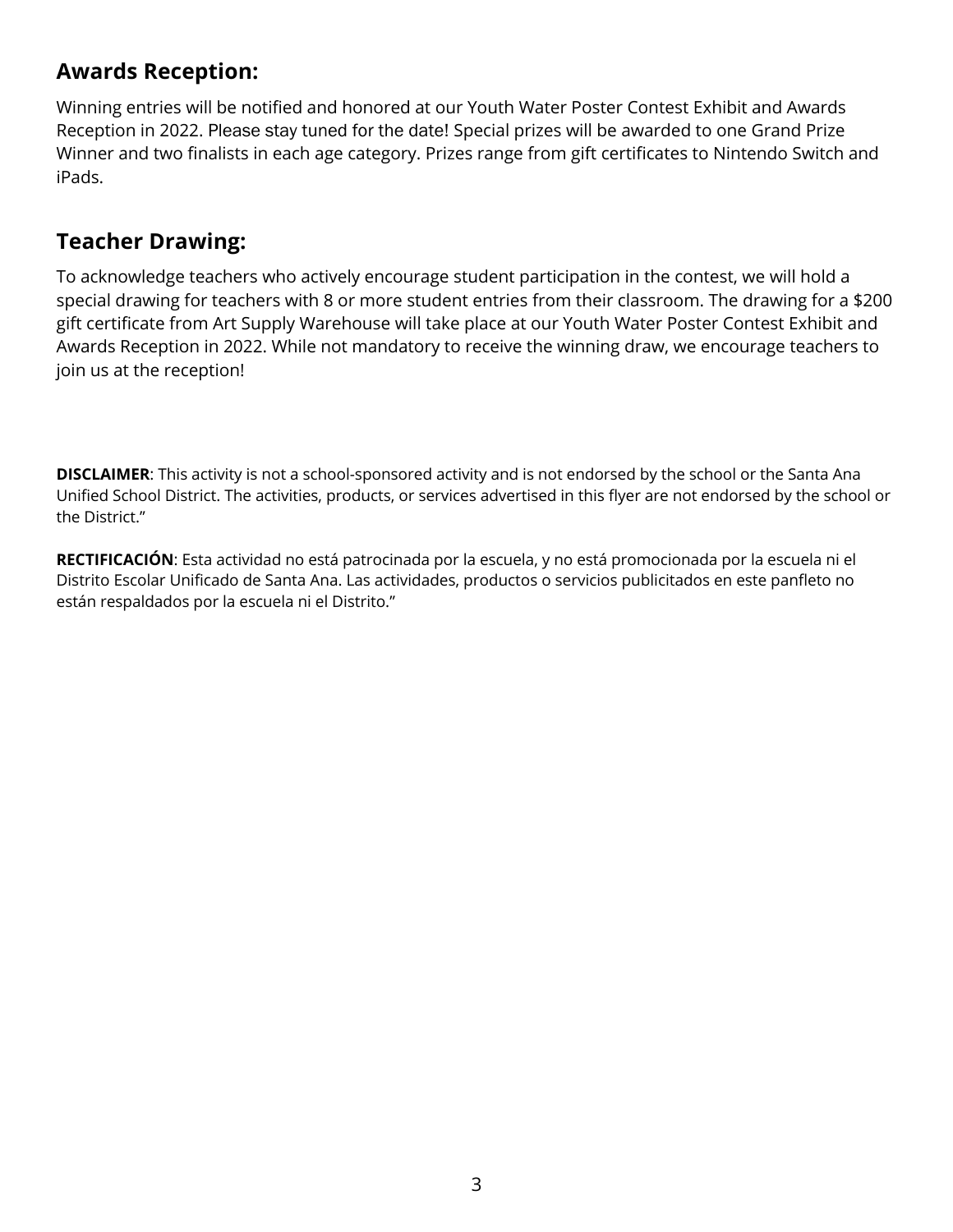# **Awards Reception:**

Winning entries will be notified and honored at our Youth Water Poster Contest Exhibit and Awards Reception in 2022. Please stay tuned for the date! Special prizes will be awarded to one Grand Prize Winner and two finalists in each age category. Prizes range from gift certificates to Nintendo Switch and iPads.

#### **Teacher Drawing:**

To acknowledge teachers who actively encourage student participation in the contest, we will hold a special drawing for teachers with 8 or more student entries from their classroom. The drawing for a \$200 gift certificate from Art Supply Warehouse will take place at our Youth Water Poster Contest Exhibit and Awards Reception in 2022. While not mandatory to receive the winning draw, we encourage teachers to join us at the reception!

**DISCLAIMER**: This activity is not a school-sponsored activity and is not endorsed by the school or the Santa Ana Unified School District. The activities, products, or services advertised in this flyer are not endorsed by the school or the District."

**RECTIFICACIÓN**: Esta actividad no está patrocinada por la escuela, y no está promocionada por la escuela ni el Distrito Escolar Unificado de Santa Ana. Las actividades, productos o servicios publicitados en este panfleto no están respaldados por la escuela ni el Distrito."